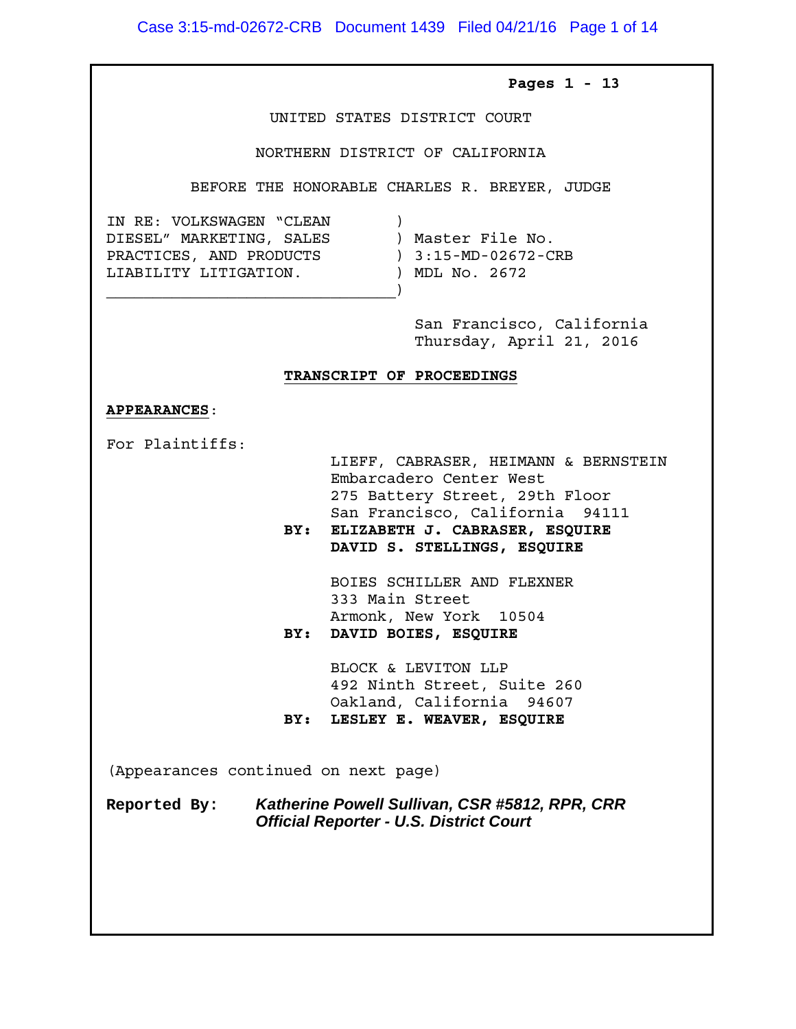Case 3:15-md-02672-CRB Document 1439 Filed 04/21/16 Page 1 of 14

### **Pages 1 - 13**

UNITED STATES DISTRICT COURT

#### NORTHERN DISTRICT OF CALIFORNIA

BEFORE THE HONORABLE CHARLES R. BREYER, JUDGE

IN RE: VOLKSWAGEN "CLEAN )<br>DIESEL" MARKETING, SALES ) Master File No. DIESEL" MARKETING, SALES ) Master File No. PRACTICES, AND PRODUCTS ) 3:15-MD-02672-CRB LIABILITY LITIGATION. ) MDL No. 2672

 $\qquad \qquad \Box$ 

 San Francisco, California Thursday, April 21, 2016

#### **TRANSCRIPT OF PROCEEDINGS**

#### **APPEARANCES**:

For Plaintiffs:

 LIEFF, CABRASER, HEIMANN & BERNSTEIN Embarcadero Center West 275 Battery Street, 29th Floor San Francisco, California 94111

 **BY: ELIZABETH J. CABRASER, ESQUIRE DAVID S. STELLINGS, ESQUIRE**

 BOIES SCHILLER AND FLEXNER 333 Main Street Armonk, New York 10504 **BY: DAVID BOIES, ESQUIRE**

 BLOCK & LEVITON LLP 492 Ninth Street, Suite 260 Oakland, California 94607 **BY: LESLEY E. WEAVER, ESQUIRE**

(Appearances continued on next page)

**Reported By: Katherine Powell Sullivan, CSR #5812, RPR, CRR Official Reporter - U.S. District Court**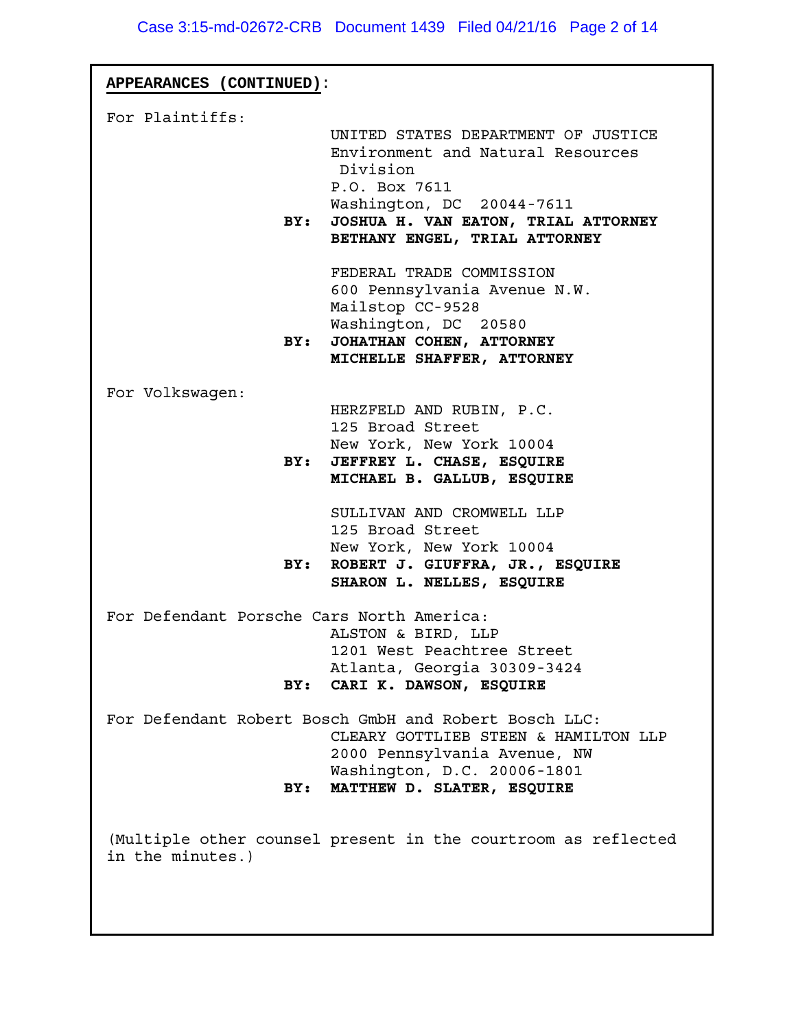| APPEARANCES (CONTINUED):                  |                                                                                                                                                                                                            |
|-------------------------------------------|------------------------------------------------------------------------------------------------------------------------------------------------------------------------------------------------------------|
| For Plaintiffs:<br>BY:                    | UNITED STATES DEPARTMENT OF JUSTICE<br>Environment and Natural Resources<br>Division<br>P.O. Box 7611<br>Washington, DC 20044-7611<br>JOSHUA H. VAN EATON, TRIAL ATTORNEY<br>BETHANY ENGEL, TRIAL ATTORNEY |
|                                           | FEDERAL TRADE COMMISSION<br>600 Pennsylvania Avenue N.W.<br>Mailstop CC-9528<br>Washington, DC 20580<br>BY: JOHATHAN COHEN, ATTORNEY<br>MICHELLE SHAFFER, ATTORNEY                                         |
| For Volkswagen:<br>BY:                    | HERZFELD AND RUBIN, P.C.<br>125 Broad Street<br>New York, New York 10004<br>JEFFREY L. CHASE, ESQUIRE<br>MICHAEL B. GALLUB, ESQUIRE                                                                        |
| BY:                                       | SULLIVAN AND CROMWELL LLP<br>125 Broad Street<br>New York, New York 10004<br>ROBERT J. GIUFFRA, JR., ESQUIRE<br>SHARON L. NELLES, ESQUIRE                                                                  |
| For Defendant Porsche Cars North America: | ALSTON & BIRD, LLP<br>1201 West Peachtree Street<br>Atlanta, Georgia 30309-3424<br>BY: CARI K. DAWSON, ESQUIRE                                                                                             |
| BY:                                       | For Defendant Robert Bosch GmbH and Robert Bosch LLC:<br>CLEARY GOTTLIEB STEEN & HAMILTON LLP<br>2000 Pennsylvania Avenue, NW<br>Washington, D.C. 20006-1801<br>MATTHEW D. SLATER, ESQUIRE                 |
| in the minutes.)                          | (Multiple other counsel present in the courtroom as reflected                                                                                                                                              |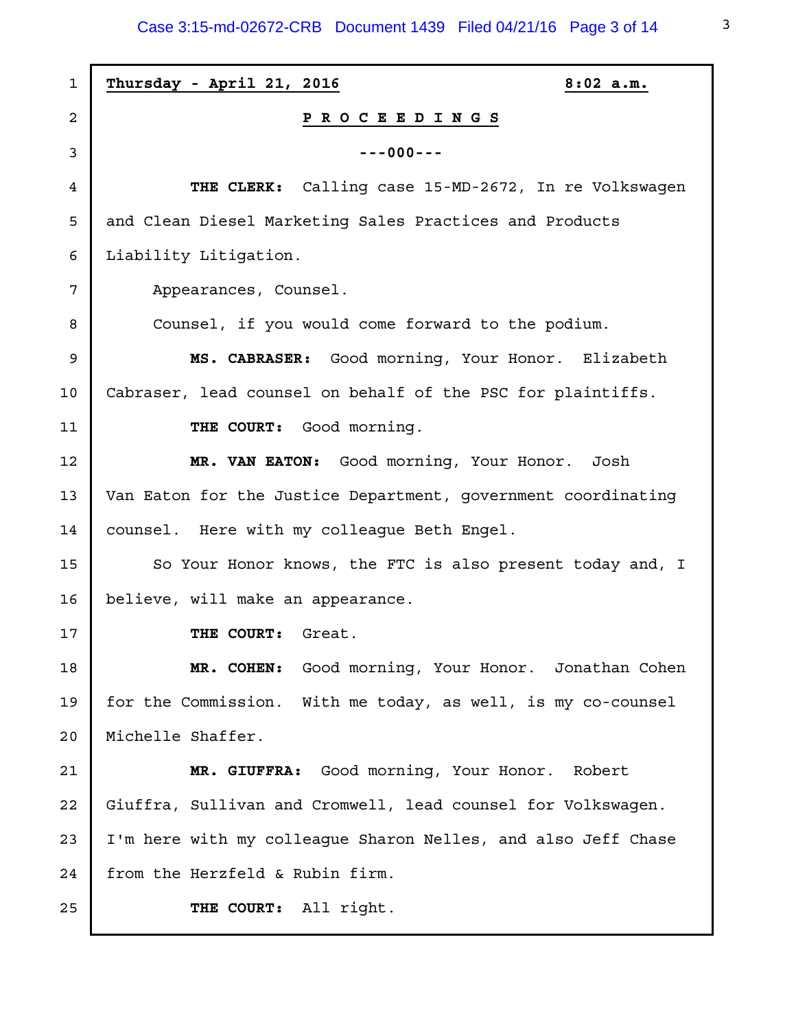Case 3:15-md-02672-CRB Document 1439 Filed 04/21/16 Page 3 of 14

| 1  | Thursday - April 21, 2016<br>$8:02$ a.m.                      |
|----|---------------------------------------------------------------|
| 2  | P R O C E E D I N G S                                         |
| 3  | $---000---$                                                   |
| 4  | THE CLERK: Calling case 15-MD-2672, In re Volkswagen          |
| 5  | and Clean Diesel Marketing Sales Practices and Products       |
| 6  | Liability Litigation.                                         |
| 7  | Appearances, Counsel.                                         |
| 8  | Counsel, if you would come forward to the podium.             |
| 9  | MS. CABRASER: Good morning, Your Honor. Elizabeth             |
| 10 | Cabraser, lead counsel on behalf of the PSC for plaintiffs.   |
| 11 | THE COURT: Good morning.                                      |
| 12 | MR. VAN EATON: Good morning, Your Honor. Josh                 |
| 13 | Van Eaton for the Justice Department, government coordinating |
| 14 | counsel. Here with my colleague Beth Engel.                   |
| 15 | So Your Honor knows, the FTC is also present today and, I     |
| 16 | believe, will make an appearance.                             |
| 17 | THE COURT:<br>Great.                                          |
| 18 | MR. COHEN: Good morning, Your Honor. Jonathan Cohen           |
| 19 | for the Commission. With me today, as well, is my co-counsel  |
| 20 | Michelle Shaffer.                                             |
| 21 | Good morning, Your Honor. Robert<br>MR. GIUFFRA:              |
| 22 | Giuffra, Sullivan and Cromwell, lead counsel for Volkswagen.  |
| 23 | I'm here with my colleague Sharon Nelles, and also Jeff Chase |
| 24 | from the Herzfeld & Rubin firm.                               |
| 25 | THE COURT: All right.                                         |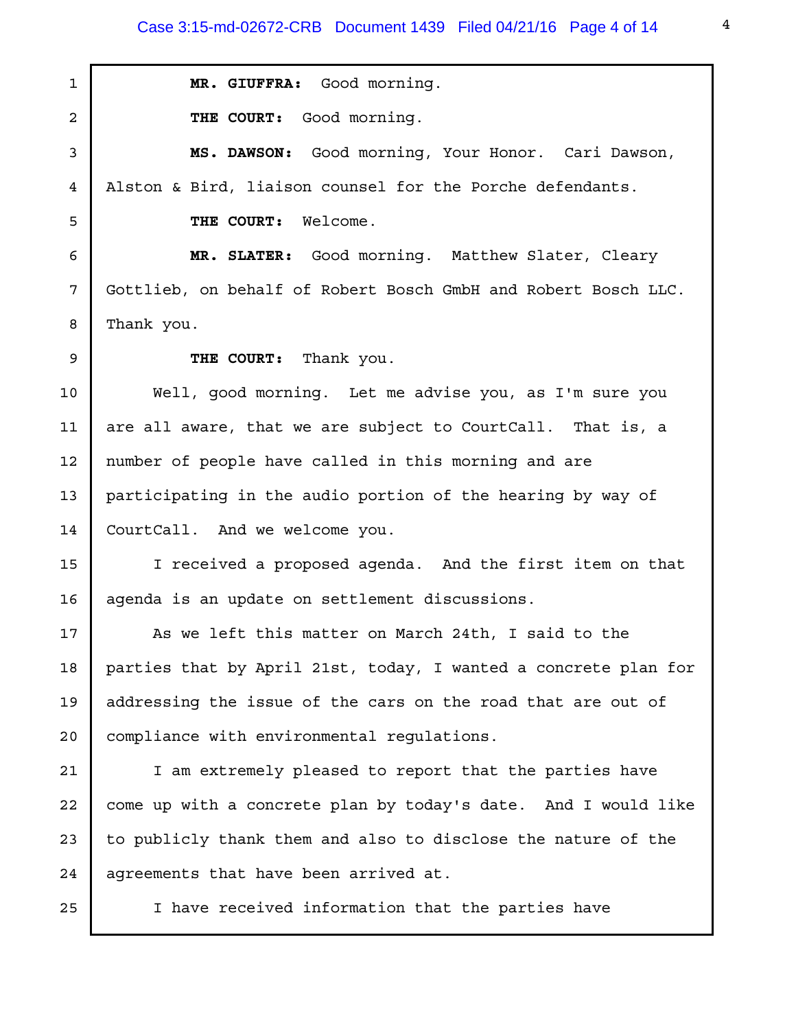Case 3:15-md-02672-CRB Document 1439 Filed 04/21/16 Page 4 of 14

**MR. GIUFFRA:** Good morning. **THE COURT:** Good morning. **MS. DAWSON:** Good morning, Your Honor. Cari Dawson, Alston & Bird, liaison counsel for the Porche defendants. **THE COURT:** Welcome. **MR. SLATER:** Good morning. Matthew Slater, Cleary Gottlieb, on behalf of Robert Bosch GmbH and Robert Bosch LLC. Thank you. **THE COURT:** Thank you. Well, good morning. Let me advise you, as I'm sure you are all aware, that we are subject to CourtCall. That is, a number of people have called in this morning and are participating in the audio portion of the hearing by way of CourtCall. And we welcome you. I received a proposed agenda. And the first item on that agenda is an update on settlement discussions. As we left this matter on March 24th, I said to the parties that by April 21st, today, I wanted a concrete plan for addressing the issue of the cars on the road that are out of compliance with environmental regulations. I am extremely pleased to report that the parties have come up with a concrete plan by today's date. And I would like to publicly thank them and also to disclose the nature of the agreements that have been arrived at. I have received information that the parties have 1 2 3 4 5 6 7 8 9 10 11 12 13 14 15 16 17 18 19 20 21 22 23 24 25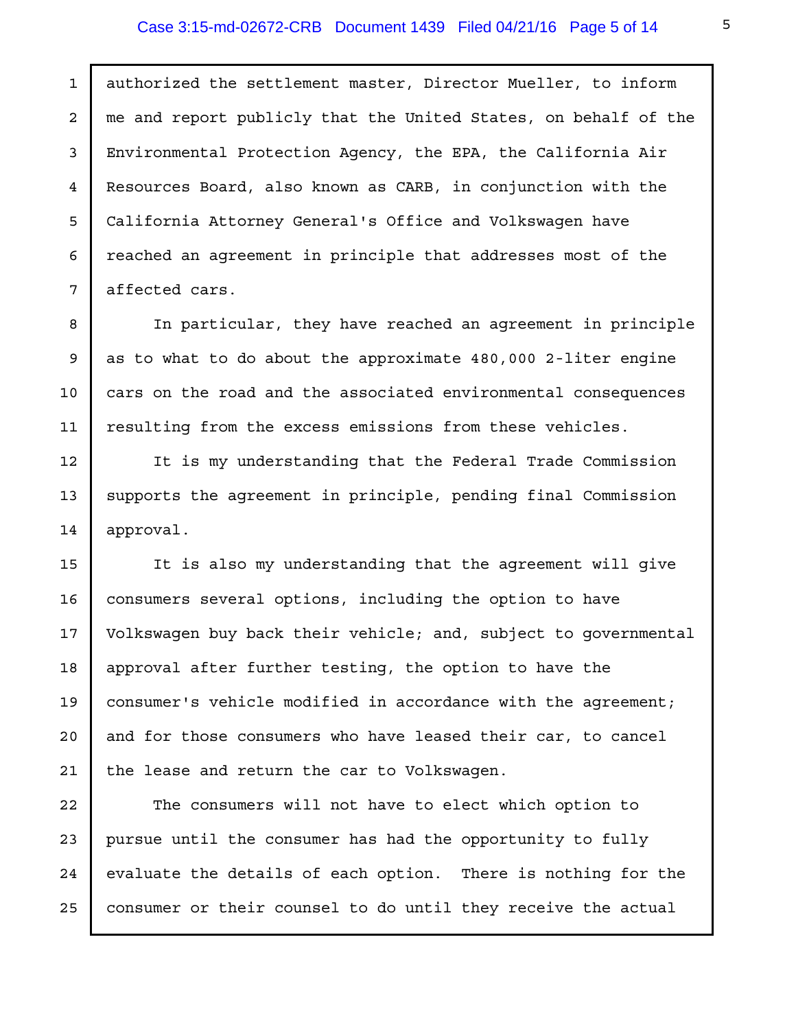#### Case 3:15-md-02672-CRB Document 1439 Filed 04/21/16 Page 5 of 14

authorized the settlement master, Director Mueller, to inform me and report publicly that the United States, on behalf of the Environmental Protection Agency, the EPA, the California Air Resources Board, also known as CARB, in conjunction with the California Attorney General's Office and Volkswagen have reached an agreement in principle that addresses most of the affected cars.

In particular, they have reached an agreement in principle as to what to do about the approximate 480,000 2-liter engine cars on the road and the associated environmental consequences resulting from the excess emissions from these vehicles.

It is my understanding that the Federal Trade Commission supports the agreement in principle, pending final Commission approval.

It is also my understanding that the agreement will give consumers several options, including the option to have Volkswagen buy back their vehicle; and, subject to governmental approval after further testing, the option to have the consumer's vehicle modified in accordance with the agreement; and for those consumers who have leased their car, to cancel the lease and return the car to Volkswagen.

The consumers will not have to elect which option to pursue until the consumer has had the opportunity to fully evaluate the details of each option. There is nothing for the consumer or their counsel to do until they receive the actual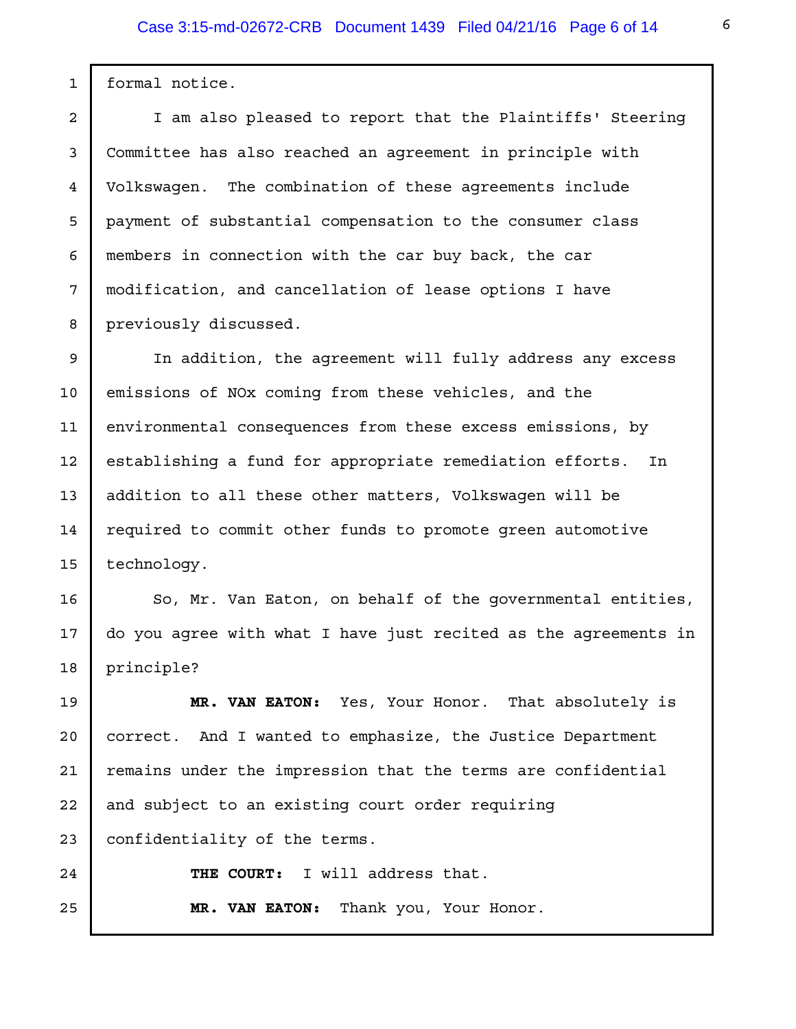formal notice.

1

2

3

4

5

6

7

8

I am also pleased to report that the Plaintiffs' Steering Committee has also reached an agreement in principle with Volkswagen. The combination of these agreements include payment of substantial compensation to the consumer class members in connection with the car buy back, the car modification, and cancellation of lease options I have previously discussed.

In addition, the agreement will fully address any excess emissions of NOx coming from these vehicles, and the environmental consequences from these excess emissions, by establishing a fund for appropriate remediation efforts. In addition to all these other matters, Volkswagen will be required to commit other funds to promote green automotive technology. 9 10 11 12 13 14 15

So, Mr. Van Eaton, on behalf of the governmental entities, do you agree with what I have just recited as the agreements in principle? 16 17 18

**MR. VAN EATON:** Yes, Your Honor. That absolutely is correct. And I wanted to emphasize, the Justice Department remains under the impression that the terms are confidential and subject to an existing court order requiring confidentiality of the terms. 19 20 21 22 23

24

25

**THE COURT:** I will address that.

**MR. VAN EATON:** Thank you, Your Honor.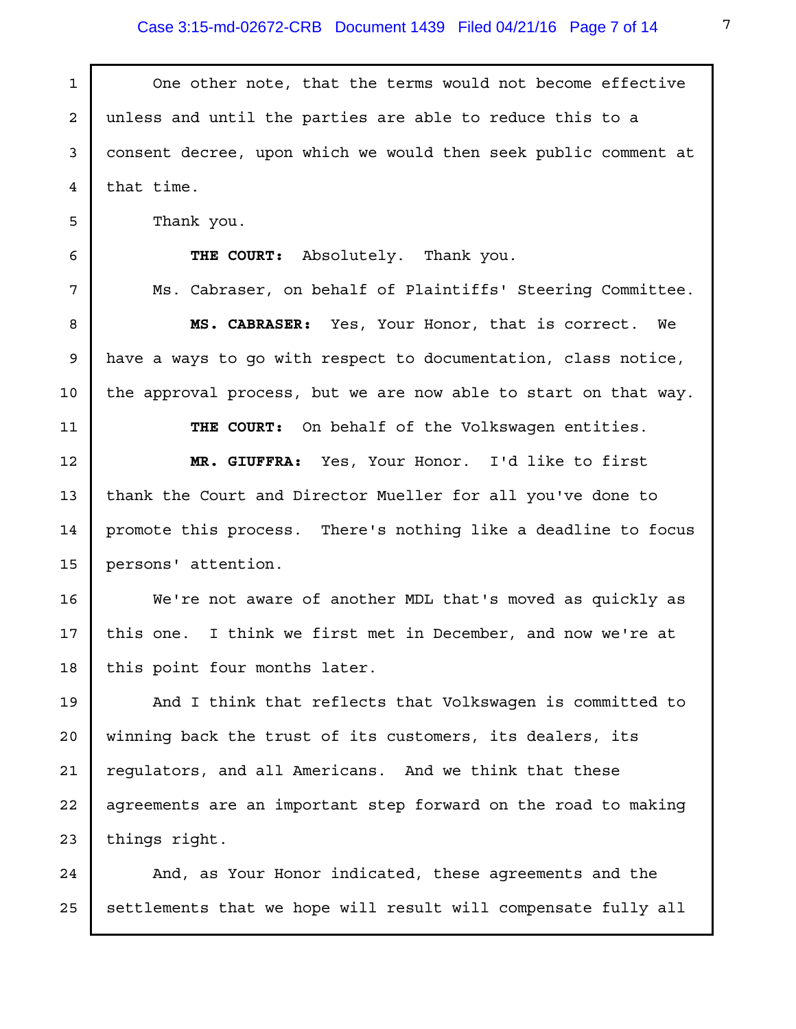| $\mathbf{1}$   | One other note, that the terms would not become effective       |
|----------------|-----------------------------------------------------------------|
| $\overline{a}$ | unless and until the parties are able to reduce this to a       |
| 3              | consent decree, upon which we would then seek public comment at |
| 4              | that time.                                                      |
| 5              | Thank you.                                                      |
| 6              | THE COURT: Absolutely. Thank you.                               |
| 7              | Ms. Cabraser, on behalf of Plaintiffs' Steering Committee.      |
| 8              | MS. CABRASER: Yes, Your Honor, that is correct. We              |
| 9              | have a ways to go with respect to documentation, class notice,  |
| 10             | the approval process, but we are now able to start on that way. |
| 11             | THE COURT: On behalf of the Volkswagen entities.                |
| 12             | MR. GIUFFRA: Yes, Your Honor. I'd like to first                 |
| 13             | thank the Court and Director Mueller for all you've done to     |
| 14             | promote this process. There's nothing like a deadline to focus  |
| 15             | persons' attention.                                             |
| 16             | We're not aware of another MDL that's moved as quickly as       |
| 17             | this one. I think we first met in December, and now we're at    |
| 18             | this point four months later.                                   |
| 19             | And I think that reflects that Volkswagen is committed to       |
| 20             | winning back the trust of its customers, its dealers, its       |
| 21             | requlators, and all Americans. And we think that these          |
| 22             | agreements are an important step forward on the road to making  |
| 23             | things right.                                                   |
| 24             | And, as Your Honor indicated, these agreements and the          |
| 25             | settlements that we hope will result will compensate fully all  |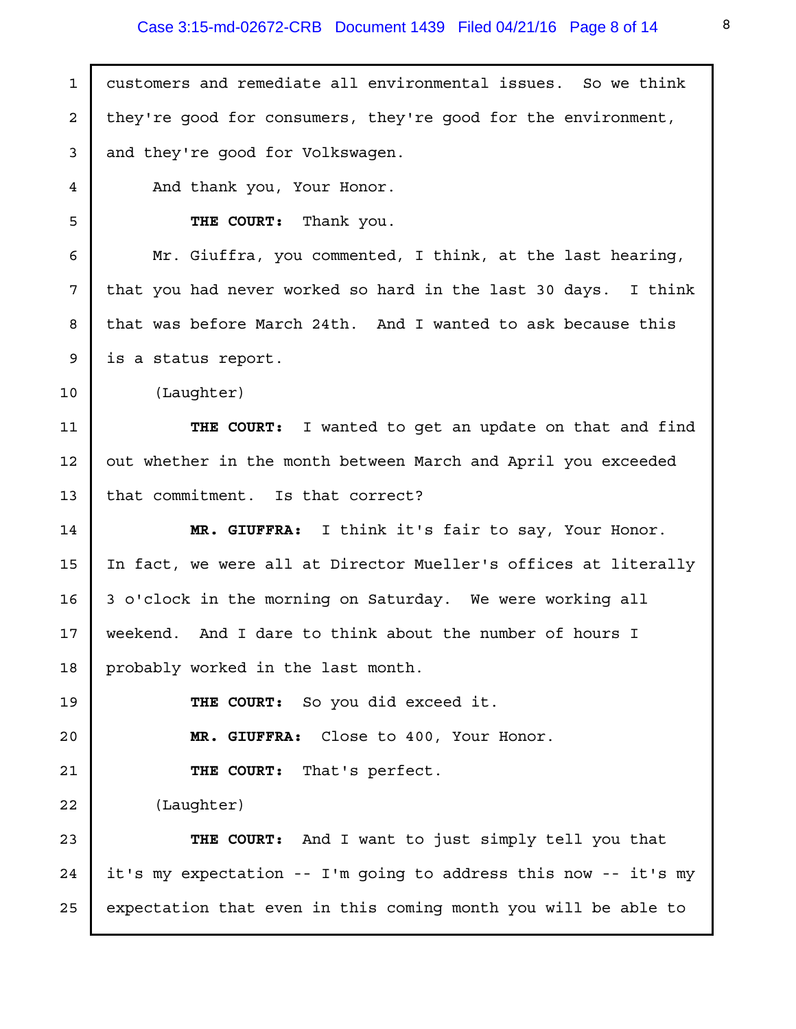## Case 3:15-md-02672-CRB Document 1439 Filed 04/21/16 Page 8 of 14

| $\mathbf{1}$ | customers and remediate all environmental issues. So we think   |
|--------------|-----------------------------------------------------------------|
| 2            | they're good for consumers, they're good for the environment,   |
| 3            | and they're good for Volkswagen.                                |
| 4            | And thank you, Your Honor.                                      |
| 5            | THE COURT: Thank you.                                           |
| 6            | Mr. Giuffra, you commented, I think, at the last hearing,       |
| 7            | that you had never worked so hard in the last 30 days. I think  |
| 8            | that was before March 24th. And I wanted to ask because this    |
| 9            | is a status report.                                             |
| 10           | (Laughter)                                                      |
| 11           | THE COURT: I wanted to get an update on that and find           |
| 12           | out whether in the month between March and April you exceeded   |
| 13           | that commitment. Is that correct?                               |
| 14           | MR. GIUFFRA: I think it's fair to say, Your Honor.              |
| 15           | In fact, we were all at Director Mueller's offices at literally |
| 16           | 3 o'clock in the morning on Saturday. We were working all       |
| 17           | weekend. And I dare to think about the number of hours I        |
| 18           | probably worked in the last month.                              |
| 19           | THE COURT: So you did exceed it.                                |
| 20           | MR. GIUFFRA: Close to 400, Your Honor.                          |
| 21           | THE COURT: That's perfect.                                      |
| 22           | (Laughter)                                                      |
| 23           | THE COURT: And I want to just simply tell you that              |
| 24           | it's my expectation -- I'm going to address this now -- it's my |
| 25           | expectation that even in this coming month you will be able to  |
|              |                                                                 |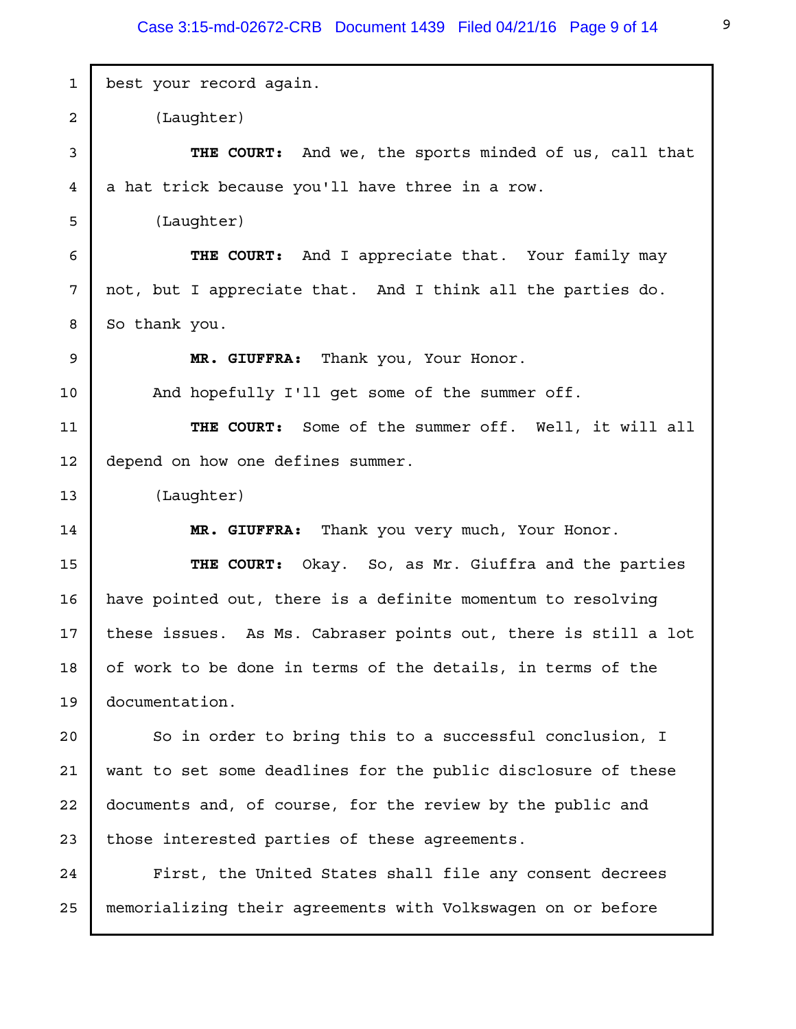| 1  | best your record again.                                        |
|----|----------------------------------------------------------------|
| 2  | (Laughter)                                                     |
| 3  | <b>THE COURT:</b> And we, the sports minded of us, call that   |
| 4  | a hat trick because you'll have three in a row.                |
| 5  | (Laughter)                                                     |
| 6  | THE COURT: And I appreciate that. Your family may              |
| 7  | not, but I appreciate that. And I think all the parties do.    |
| 8  | So thank you.                                                  |
| 9  | MR. GIUFFRA: Thank you, Your Honor.                            |
| 10 | And hopefully I'll get some of the summer off.                 |
| 11 | THE COURT: Some of the summer off. Well, it will all           |
| 12 | depend on how one defines summer.                              |
| 13 | (Laughter)                                                     |
| 14 | MR. GIUFFRA: Thank you very much, Your Honor.                  |
| 15 | THE COURT: Okay. So, as Mr. Giuffra and the parties            |
| 16 | have pointed out, there is a definite momentum to resolving    |
| 17 | these issues. As Ms. Cabraser points out, there is still a lot |
| 18 | of work to be done in terms of the details, in terms of the    |
| 19 | documentation.                                                 |
| 20 | So in order to bring this to a successful conclusion, I        |
| 21 | want to set some deadlines for the public disclosure of these  |
| 22 | documents and, of course, for the review by the public and     |
| 23 | those interested parties of these agreements.                  |
| 24 | First, the United States shall file any consent decrees        |
| 25 | memorializing their agreements with Volkswagen on or before    |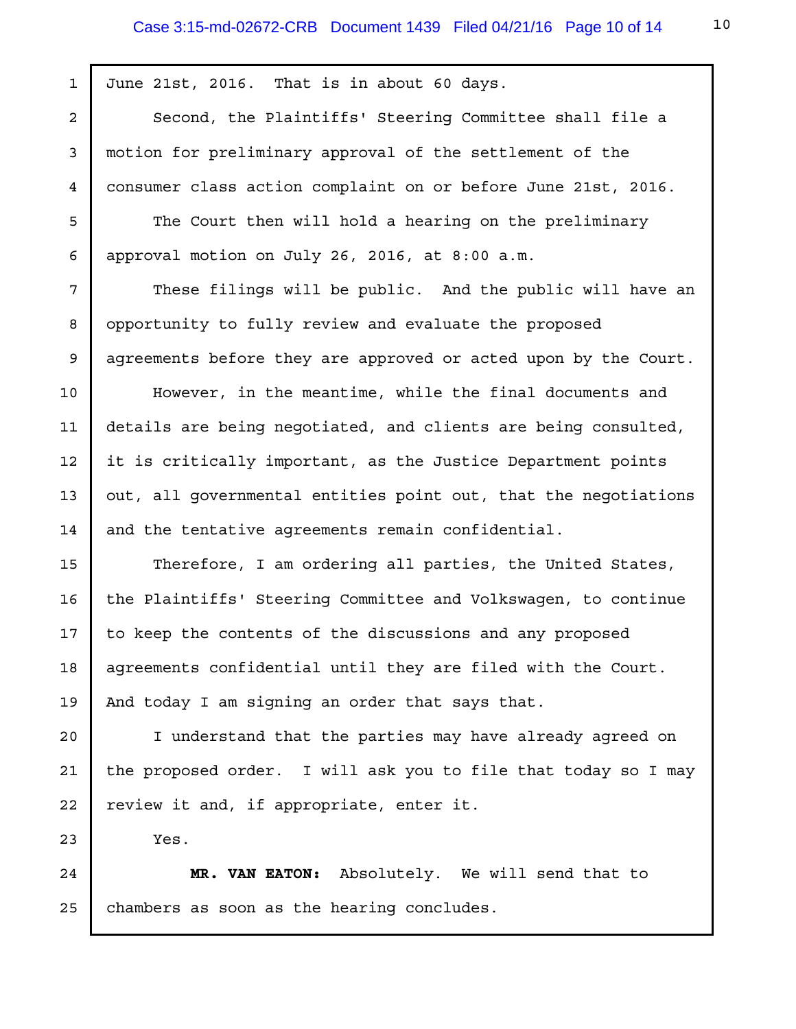June 21st, 2016. That is in about 60 days.

Second, the Plaintiffs' Steering Committee shall file a motion for preliminary approval of the settlement of the consumer class action complaint on or before June 21st, 2016.

The Court then will hold a hearing on the preliminary approval motion on July 26, 2016, at 8:00 a.m.

These filings will be public. And the public will have an opportunity to fully review and evaluate the proposed agreements before they are approved or acted upon by the Court.

However, in the meantime, while the final documents and details are being negotiated, and clients are being consulted, it is critically important, as the Justice Department points out, all governmental entities point out, that the negotiations and the tentative agreements remain confidential.

Therefore, I am ordering all parties, the United States, the Plaintiffs' Steering Committee and Volkswagen, to continue to keep the contents of the discussions and any proposed agreements confidential until they are filed with the Court. And today I am signing an order that says that.

I understand that the parties may have already agreed on the proposed order. I will ask you to file that today so I may review it and, if appropriate, enter it.

Yes.

**MR. VAN EATON:** Absolutely. We will send that to chambers as soon as the hearing concludes.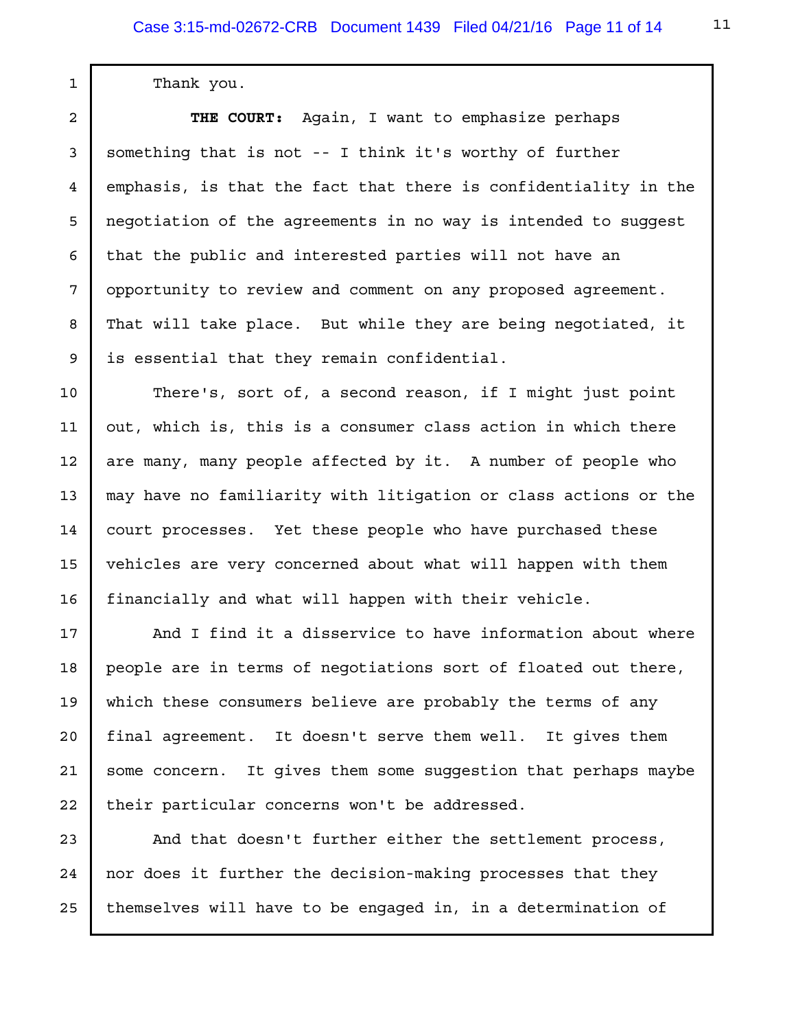Thank you.

1

2

3

4

5

6

7

8

9

10

11

12

13

14

15

16

17

18

19

20

21

22

**THE COURT:** Again, I want to emphasize perhaps something that is not -- I think it's worthy of further emphasis, is that the fact that there is confidentiality in the negotiation of the agreements in no way is intended to suggest that the public and interested parties will not have an opportunity to review and comment on any proposed agreement. That will take place. But while they are being negotiated, it is essential that they remain confidential.

There's, sort of, a second reason, if I might just point out, which is, this is a consumer class action in which there are many, many people affected by it. A number of people who may have no familiarity with litigation or class actions or the court processes. Yet these people who have purchased these vehicles are very concerned about what will happen with them financially and what will happen with their vehicle.

And I find it a disservice to have information about where people are in terms of negotiations sort of floated out there, which these consumers believe are probably the terms of any final agreement. It doesn't serve them well. It gives them some concern. It gives them some suggestion that perhaps maybe their particular concerns won't be addressed.

And that doesn't further either the settlement process, nor does it further the decision-making processes that they themselves will have to be engaged in, in a determination of 23 24 25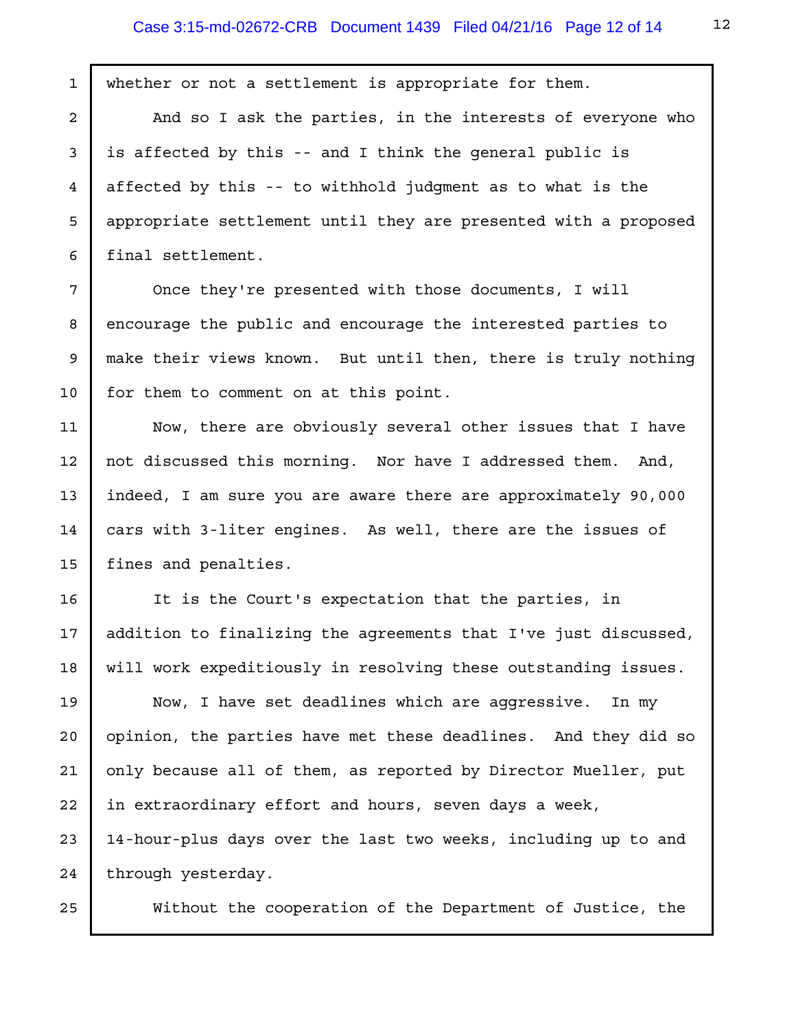whether or not a settlement is appropriate for them. And so I ask the parties, in the interests of everyone who is affected by this -- and I think the general public is affected by this -- to withhold judgment as to what is the appropriate settlement until they are presented with a proposed final settlement. Once they're presented with those documents, I will encourage the public and encourage the interested parties to make their views known. But until then, there is truly nothing for them to comment on at this point. Now, there are obviously several other issues that I have not discussed this morning. Nor have I addressed them. And, indeed, I am sure you are aware there are approximately 90,000 cars with 3-liter engines. As well, there are the issues of fines and penalties. It is the Court's expectation that the parties, in addition to finalizing the agreements that I've just discussed, will work expeditiously in resolving these outstanding issues. Now, I have set deadlines which are aggressive. In my opinion, the parties have met these deadlines. And they did so only because all of them, as reported by Director Mueller, put in extraordinary effort and hours, seven days a week, 14-hour-plus days over the last two weeks, including up to and through yesterday. Without the cooperation of the Department of Justice, the 1 2 3 4 5 6 7 8 9 10 11 12 13 14 15 16 17 18 19 20 21 22 23 24 25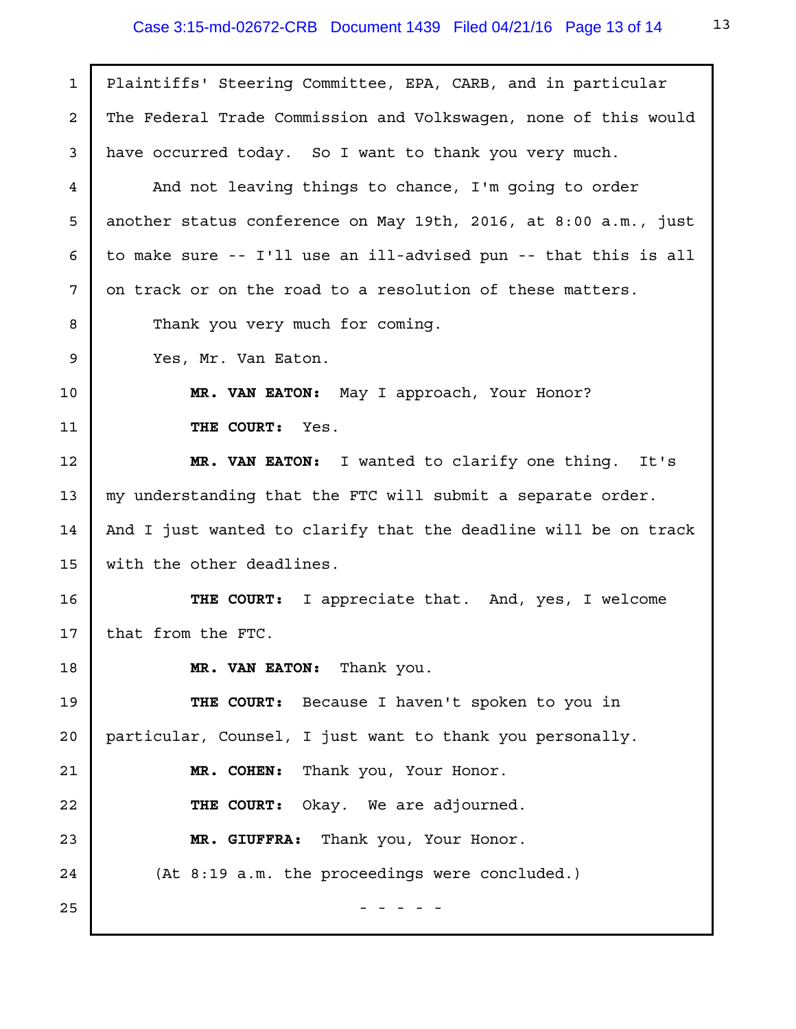| $\mathbf{1}$   | Plaintiffs' Steering Committee, EPA, CARB, and in particular    |
|----------------|-----------------------------------------------------------------|
| $\overline{a}$ | The Federal Trade Commission and Volkswagen, none of this would |
| 3              | have occurred today. So I want to thank you very much.          |
| 4              | And not leaving things to chance, I'm going to order            |
| 5              | another status conference on May 19th, 2016, at 8:00 a.m., just |
| 6              | to make sure -- I'll use an ill-advised pun -- that this is all |
| 7              | on track or on the road to a resolution of these matters.       |
| 8              | Thank you very much for coming.                                 |
| 9              | Yes, Mr. Van Eaton.                                             |
| 10             | MR. VAN EATON: May I approach, Your Honor?                      |
| 11             | THE COURT: Yes.                                                 |
| 12             | MR. VAN EATON: I wanted to clarify one thing. It's              |
| 13             | my understanding that the FTC will submit a separate order.     |
| 14             | And I just wanted to clarify that the deadline will be on track |
| 15             | with the other deadlines.                                       |
| 16             | I appreciate that. And, yes, I welcome<br>THE COURT:            |
| 17             | that from the FTC.                                              |
| 18             | MR. VAN EATON: Thank you.                                       |
| 19             | THE COURT: Because I haven't spoken to you in                   |
| 20             | particular, Counsel, I just want to thank you personally.       |
| 21             | MR. COHEN: Thank you, Your Honor.                               |
| 22             | THE COURT: Okay. We are adjourned.                              |
| 23             | MR. GIUFFRA: Thank you, Your Honor.                             |
| 24             | (At 8:19 a.m. the proceedings were concluded.)                  |
| 25             |                                                                 |